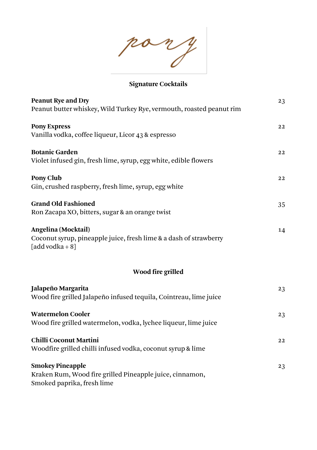pany

# **Signature Cocktails**

| <b>Peanut Rye and Dry</b>                                                                                         | 23        |
|-------------------------------------------------------------------------------------------------------------------|-----------|
| Peanut butter whiskey, Wild Turkey Rye, vermouth, roasted peanut rim                                              |           |
| <b>Pony Express</b><br>Vanilla vodka, coffee liqueur, Licor 43 & espresso                                         | 22        |
| <b>Botanic Garden</b><br>Violet infused gin, fresh lime, syrup, egg white, edible flowers                         | 22        |
| Pony Club<br>Gin, crushed raspberry, fresh lime, syrup, egg white                                                 | 22        |
| <b>Grand Old Fashioned</b><br>Ron Zacapa XO, bitters, sugar & an orange twist                                     | 35        |
| Angelina (Mocktail)<br>Coconut syrup, pineapple juice, fresh lime & a dash of strawberry<br>$[add vodka + 8]$     | 14        |
| Wood fire grilled                                                                                                 |           |
| Jalapeño Margarita<br>Wood fire grilled Jalapeño infused tequila, Cointreau, lime juice                           | 23        |
| <b>Watermelon Cooler</b><br>Wood fire grilled watermelon, vodka, lychee liqueur, lime juice                       | 23        |
| <b>Chilli Coconut Martini</b><br>Woodfire grilled chilli infused vodka, coconut syrup & lime                      | $\bf{22}$ |
| <b>Smokey Pineapple</b><br>Kraken Rum, Wood fire grilled Pineapple juice, cinnamon,<br>Smoked paprika, fresh lime | 23        |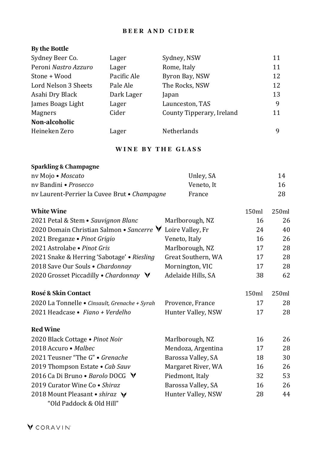### **B E E R A N D C I D E R**

#### **By the Bottle**

| Sydney Beer Co.      | Lager       | Sydney, NSW               | 11 |
|----------------------|-------------|---------------------------|----|
| Peroni Nastro Azzuro | Lager       | Rome, Italy               | 11 |
| Stone + Wood         | Pacific Ale | Byron Bay, NSW            | 12 |
| Lord Nelson 3 Sheets | Pale Ale    | The Rocks, NSW            | 12 |
| Asahi Dry Black      | Dark Lager  | Japan                     | 13 |
| James Boags Light    | Lager       | Launceston, TAS           | 9  |
| Magners              | Cider       | County Tipperary, Ireland | 11 |
| Non-alcoholic        |             |                           |    |
| Heineken Zero        | Lager       | <b>Netherlands</b>        | 9  |

### **WINE BY THE GLASS**

| <b>Sparkling &amp; Champagne</b>             |            |    |
|----------------------------------------------|------------|----|
| ny Mojo • Moscato                            | Unley, SA  | 14 |
| ny Bandini • <i>Prosecco</i>                 | Veneto. It | 16 |
| ny Laurent-Perrier la Cuvee Brut • Champagne | France     | 28 |

| <b>White Wine</b>                             |                    | 150ml | 250ml |
|-----------------------------------------------|--------------------|-------|-------|
| 2021 Petal & Stem • Sauvignon Blanc           | Marlborough, NZ    | 16    | 26    |
| 2020 Domain Christian Salmon • Sancerre V     | Loire Valley, Fr   | 24    | 40    |
| 2021 Breganze • Pinot Grigio                  | Veneto, Italy      | 16    | 26    |
| 2021 Astrolabe • Pinot Gris                   | Marlborough, NZ    | 17    | 28    |
| 2021 Snake & Herring 'Sabotage' • Riesling    | Great Southern, WA | 17    | 28    |
| 2018 Save Our Souls • Chardonnay              | Mornington, VIC    | 17    | 28    |
| 2020 Grosset Piccadilly • Chardonnay V        | Adelaide Hills, SA | 38    | 62    |
| <b>Rosé &amp; Skin Contact</b>                |                    | 150ml | 250ml |
| 2020 La Tonnelle · Cinsault, Grenache + Syrah | Provence, France   | 17    | 28    |
| 2021 Headcase • Fiano + Verdelho              | Hunter Valley, NSW | 17    | 28    |
| <b>Red Wine</b>                               |                    |       |       |
| 2020 Black Cottage . Pinot Noir               | Marlborough, NZ    | 16    | 26    |
| 2018 Accuro • Malbec                          | Mendoza, Argentina | 17    | 28    |
| 2021 Teusner "The G" • Grenache               | Barossa Valley, SA | 18    | 30    |
| 2019 Thompson Estate • Cab Sauv               | Margaret River, WA | 16    | 26    |
| 2016 Ca Di Bruno • Barolo DOCG V              | Piedmont, Italy    | 32    | 53    |
| 2019 Curator Wine Co • Shiraz                 | Barossa Valley, SA | 16    | 26    |
| 2018 Mount Pleasant • shiraz $\forall$        | Hunter Valley, NSW | 28    | 44    |
| "Old Paddock & Old Hill"                      |                    |       |       |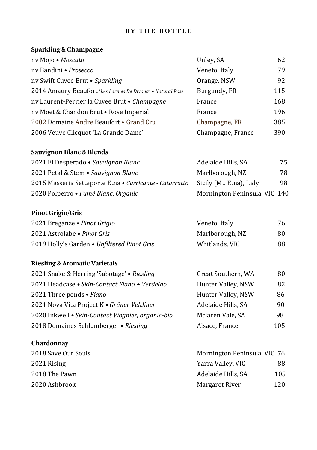#### **BY THE BOTTLE**

#### **Sparkling & Champagne**

| nv Mojo • Moscato                                          | Unley, SA         | 62  |
|------------------------------------------------------------|-------------------|-----|
| ny Bandini • Prosecco                                      | Veneto, Italy     | 79  |
| nv Swift Cuvee Brut • Sparkling                            | Orange, NSW       | 92  |
| 2014 Amaury Beaufort 'Les Larmes De Divona' • Natural Rose | Burgundy, FR      | 115 |
| ny Laurent-Perrier la Cuvee Brut • Champagne               | France            | 168 |
| ny Moët & Chandon Brut • Rose Imperial                     | France            | 196 |
| 2002 Domaine Andre Beaufort • Grand Cru                    | Champagne, FR     | 385 |
| 2006 Veuve Clicquot 'La Grande Dame'                       | Champagne, France | 390 |

#### **Sauvignon Blanc & Blends**

| 2021 El Desperado • Sauvignon Blanc                     | Adelaide Hills, SA            | 75 |
|---------------------------------------------------------|-------------------------------|----|
| 2021 Petal & Stem • Sauvignon Blanc                     | Marlborough, NZ               | 78 |
| 2015 Masseria Setteporte Etna • Carricante - Catarratto | Sicily (Mt. Etna), Italy      | 98 |
| 2020 Polperro • Fumé Blanc, Organic                     | Mornington Peninsula, VIC 140 |    |

## **Pinot Grigio/Gris**

| 2021 Breganze • Pinot Grigio                | Veneto, Italy   | 76 |
|---------------------------------------------|-----------------|----|
| 2021 Astrolabe • Pinot Gris                 | Marlborough, NZ | 80 |
| 2019 Holly's Garden • Unfiltered Pinot Gris | Whitlands, VIC  | 88 |

#### **Riesling & Aromatic Varietals**

| 2021 Snake & Herring 'Sabotage' . Riesling        | Great Southern, WA | 80  |
|---------------------------------------------------|--------------------|-----|
| 2021 Headcase • Skin-Contact Fiano + Verdelho     | Hunter Valley, NSW | 82  |
| 2021 Three ponds • Fiano                          | Hunter Valley, NSW | 86  |
| 2021 Nova Vita Project K • Grüner Veltliner       | Adelaide Hills, SA | 90  |
| 2020 Inkwell • Skin-Contact Viognier, organic-bio | Mclaren Vale, SA   | 98  |
| 2018 Domaines Schlumberger • Riesling             | Alsace, France     | 105 |

### **Chardonnay**

| 2018 Save Our Souls | Mornington Peninsula, VIC 76 |     |
|---------------------|------------------------------|-----|
| 2021 Rising         | Yarra Valley, VIC            | 88  |
| 2018 The Pawn       | Adelaide Hills. SA           | 105 |
| 2020 Ashbrook       | Margaret River               | 120 |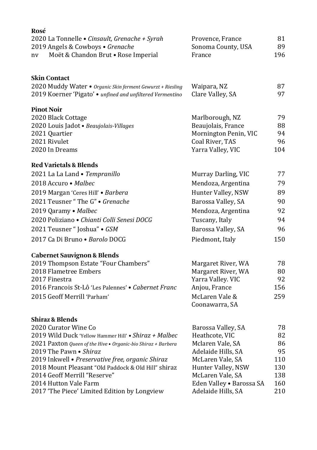| Rosé                                                                              |                                        |          |
|-----------------------------------------------------------------------------------|----------------------------------------|----------|
| 2020 La Tonnelle • Cinsault, Grenache + Syrah<br>2019 Angels & Cowboys • Grenache | Provence, France<br>Sonoma County, USA | 81<br>89 |
| Moët & Chandon Brut . Rose Imperial<br>nv                                         | France                                 | 196      |
| Skin Contact                                                                      |                                        |          |
| 2020 Muddy Water . Organic Skin ferment Gewurzt + Riesling                        | Waipara, NZ                            | 87       |
| 2019 Koerner 'Pigato' • unfined and unfiltered Vermentino                         | Clare Valley, SA                       | 97       |
| <b>Pinot Noir</b>                                                                 |                                        |          |
| 2020 Black Cottage                                                                | Marlborough, NZ                        | 79       |
| 2020 Louis Jadot · Beaujolais-Villages                                            | Beaujolais, France                     | 88       |
| 2021 Quartier                                                                     | Mornington Penin, VIC                  | 94       |
| 2021 Rivulet                                                                      | Coal River, TAS                        | 96       |
| 2020 In Dreams                                                                    | Yarra Valley, VIC                      | 104      |
| <b>Red Varietals &amp; Blends</b>                                                 |                                        |          |
| 2021 La La Land · Tempranillo                                                     | Murray Darling, VIC                    | 77       |
| 2018 Accuro • Malbec                                                              | Mendoza, Argentina                     | 79       |
| 2019 Margan 'Ceres Hill' · Barbera                                                | Hunter Valley, NSW                     | 89       |
| 2021 Teusner "The G" . Grenache                                                   | Barossa Valley, SA                     | 90       |
| 2019 Qaramy · Malbec                                                              | Mendoza, Argentina                     | 92       |
| 2020 Poliziano · Chianti Colli Senesi DOCG                                        | Tuscany, Italy                         | 94       |
| 2021 Teusner "Joshua" · GSM                                                       | Barossa Valley, SA                     | 96       |
| 2017 Ca Di Bruno • Barolo DOCG                                                    | Piedmont, Italy                        | 150      |
| <b>Cabernet Sauvignon &amp; Blends</b>                                            |                                        |          |
| 2019 Thompson Estate "Four Chambers"                                              | Margaret River, WA                     | 78       |
| 2018 Flametree Embers                                                             | Margaret River, WA                     | 80       |
| 2017 Finestra                                                                     | Yarra Valley. VIC                      | 92       |
| 2016 Francois St-Lô 'Les Palennes' • Cabernet Franc                               | Anjou, France                          | 156      |
| 2015 Geoff Merrill 'Parham'                                                       | McLaren Vale &<br>Coonawarra, SA       | 259      |
| Shiraz & Blends                                                                   |                                        |          |
| 2020 Curator Wine Co                                                              | Barossa Valley, SA                     | 78       |
| 2019 Wild Duck 'Yellow Hammer Hill' • Shiraz + Malbec                             | Heathcote, VIC                         | 82       |
| 2021 Paxton Queen of the Hive . Organic-bio Shiraz + Barbera                      | Mclaren Vale, SA                       | 86       |
| 2019 The Pawn • Shiraz                                                            | Adelaide Hills, SA                     | 95       |
| 2019 Inkwell · Preservative free, organic Shiraz                                  | McLaren Vale, SA                       | 110      |
| 2018 Mount Pleasant "Old Paddock & Old Hill" shiraz                               | Hunter Valley, NSW                     | 130      |
| 2014 Geoff Merrill "Reserve"                                                      | McLaren Vale, SA                       | 138      |
| 2014 Hutton Vale Farm                                                             | Eden Valley . Barossa SA               | 160      |
| 2017 'The Piece' Limited Edition by Longview                                      | Adelaide Hills, SA                     | 210      |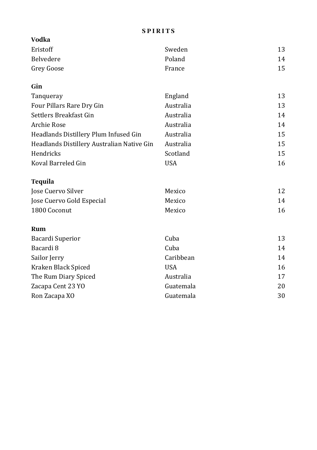#### **S P I R I T S**

| <b>Vodka</b>                               |            |    |
|--------------------------------------------|------------|----|
| Eristoff                                   | Sweden     | 13 |
| <b>Belvedere</b>                           | Poland     | 14 |
| Grey Goose                                 | France     | 15 |
| Gin                                        |            |    |
| Tanqueray                                  | England    | 13 |
| Four Pillars Rare Dry Gin                  | Australia  | 13 |
| Settlers Breakfast Gin                     | Australia  | 14 |
| Archie Rose                                | Australia  | 14 |
| Headlands Distillery Plum Infused Gin      | Australia  | 15 |
| Headlands Distillery Australian Native Gin | Australia  | 15 |
| Hendricks                                  | Scotland   | 15 |
| Koval Barreled Gin                         | <b>USA</b> | 16 |
| Tequila                                    |            |    |
| Jose Cuervo Silver                         | Mexico     | 12 |
| Jose Cuervo Gold Especial                  | Mexico     | 14 |
| 1800 Coconut                               | Mexico     | 16 |
| Rum                                        |            |    |
| Bacardi Superior                           | Cuba       | 13 |
| Bacardi 8                                  | Cuba       | 14 |
| Sailor Jerry                               | Caribbean  | 14 |
| Kraken Black Spiced                        | <b>USA</b> | 16 |
| The Rum Diary Spiced                       | Australia  | 17 |
| Zacapa Cent 23 YO                          | Guatemala  | 20 |
| Ron Zacapa XO                              | Guatemala  | 30 |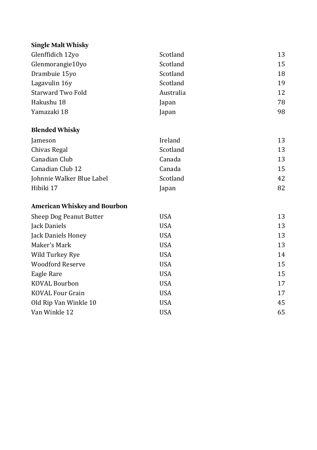## **Single Malt Whisky**

| Glenffidich 12yo                    | Scotland   | 13 |
|-------------------------------------|------------|----|
| Glenmorangie10yo                    | Scotland   | 15 |
| Drambuie 15yo                       | Scotland   | 18 |
| Lagavulin 16y                       | Scotland   | 19 |
| Starward Two Fold                   | Australia  | 12 |
| Hakushu 18                          | Japan      | 78 |
| Yamazaki 18                         | Japan      | 98 |
| <b>Blended Whisky</b>               |            |    |
| Jameson                             | Ireland    | 13 |
| Chivas Regal                        | Scotland   | 13 |
| Canadian Club                       | Canada     | 13 |
| Canadian Club 12                    | Canada     | 15 |
| Johnnie Walker Blue Label           | Scotland   | 42 |
| Hibiki 17                           | Japan      | 82 |
| <b>American Whiskey and Bourbon</b> |            |    |
| Sheep Dog Peanut Butter             | <b>USA</b> | 13 |
| Jack Daniels                        | <b>USA</b> | 13 |
| Jack Daniels Honey                  | <b>USA</b> | 13 |
| Maker's Mark                        | <b>USA</b> | 13 |
| Wild Turkey Rye                     | <b>USA</b> | 14 |
| <b>Woodford Reserve</b>             | <b>USA</b> | 15 |
| Eagle Rare                          | <b>USA</b> | 15 |

KOVAL Bourbon USA USA 17 KOVAL Four Grain USA USA 17 Old Rip Van Winkle 10 USA 45 Van Winkle 12 USA USA 65